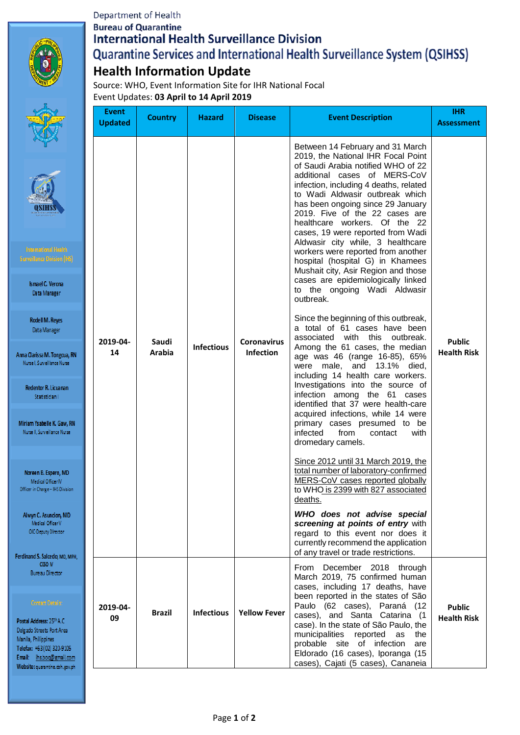## Department of Health **Bureau of Quarantine International Health Surveillance Division** Quarantine Services and International Health Surveillance System (QSIHSS) **Health Information Update**

Source: WHO, Event Information Site for IHR National Focal Event Updates: **03 April to 14 April 2019**

Anna O Nu

 $\mathbf R$ 

Miria Nur

No Offic

Ah

Ferdina

Postal Delgad Manil Telefax Email Websi

|                                                                                                                                                                                                                                                                                                                                                                                                                                             | <b>Event</b><br><b>Updated</b> | <b>Country</b>         | Hazard            | <b>Disease</b>                         | <b>Event Description</b>                                                                                                                                                                                                                                                                                                                                                                                                                                                                                                                                                                                                                                                                                                                                                                                                                                                                                                                                                                                                                                                                                                                                                                                                                                                                                                                                                                                                                                                   | <b>IHR</b><br><b>Assessment</b>     |
|---------------------------------------------------------------------------------------------------------------------------------------------------------------------------------------------------------------------------------------------------------------------------------------------------------------------------------------------------------------------------------------------------------------------------------------------|--------------------------------|------------------------|-------------------|----------------------------------------|----------------------------------------------------------------------------------------------------------------------------------------------------------------------------------------------------------------------------------------------------------------------------------------------------------------------------------------------------------------------------------------------------------------------------------------------------------------------------------------------------------------------------------------------------------------------------------------------------------------------------------------------------------------------------------------------------------------------------------------------------------------------------------------------------------------------------------------------------------------------------------------------------------------------------------------------------------------------------------------------------------------------------------------------------------------------------------------------------------------------------------------------------------------------------------------------------------------------------------------------------------------------------------------------------------------------------------------------------------------------------------------------------------------------------------------------------------------------------|-------------------------------------|
| emational Health-<br>illance Division (IHS)<br>smael C. Verona<br>Data Manager<br><b>Rodell M. Reyes</b><br>Data Manager<br>arissa M. Tongcua, RN<br>el, Surveillance Nurse<br>lentor R. Licuanan<br>Statistician I<br>n Ysabelle K. Gaw, RN<br>: II, Surveillance Nurse<br>een B. Espero, MD<br>Medical Officer IV<br>in Charge - IHS Division<br>vn C. Asuncion, MD<br>Medical Officer V<br>IC-Deputy Director<br>1d S. Salcedo, MD, MPH, | 2019-04-<br>14                 | Saudi<br><b>Arabia</b> | <b>Infectious</b> | <b>Coronavirus</b><br><b>Infection</b> | Between 14 February and 31 March<br>2019, the National IHR Focal Point<br>of Saudi Arabia notified WHO of 22<br>additional cases of MERS-CoV<br>infection, including 4 deaths, related<br>to Wadi Aldwasir outbreak which<br>has been ongoing since 29 January<br>2019. Five of the 22 cases are<br>healthcare workers. Of the 22<br>cases, 19 were reported from Wadi<br>Aldwasir city while, 3 healthcare<br>workers were reported from another<br>hospital (hospital G) in Khamees<br>Mushait city, Asir Region and those<br>cases are epidemiologically linked<br>to the ongoing Wadi Aldwasir<br>outbreak.<br>Since the beginning of this outbreak,<br>a total of 61 cases have been<br>associated with this outbreak.<br>Among the 61 cases, the median<br>age was 46 (range 16-85), 65%<br>were male, and 13.1% died,<br>including 14 health care workers.<br>Investigations into the source of<br>infection among the 61 cases<br>identified that 37 were health-care<br>acquired infections, while 14 were<br>primary cases presumed to be<br>infected<br>from<br>with<br>contact<br>dromedary camels.<br>Since 2012 until 31 March 2019, the<br>total number of laboratory-confirmed<br>MERS-CoV cases reported globally<br>to WHO is 2399 with 827 associated<br>deaths.<br>WHO does not advise special<br>screening at points of entry with<br>regard to this event nor does it<br>currently recommend the application<br>of any travel or trade restrictions. | <b>Public</b><br><b>Health Risk</b> |
| <b>CESO IV</b><br>Bureau Director<br>Contact Det <u>ails:</u><br>Address: 25th A.C.<br>Streets Port Area<br>Philippines<br>$+63(02)320-9105$<br>ihs.boq@gmail.com<br>et quarantine.doh.gov.ph                                                                                                                                                                                                                                               | 2019-04-<br>09                 | <b>Brazil</b>          | <b>Infectious</b> | <b>Yellow Fever</b>                    | From December 2018 through<br>March 2019, 75 confirmed human<br>cases, including 17 deaths, have<br>been reported in the states of São<br>Paulo (62 cases), Paraná (12<br>cases), and Santa Catarina (1<br>case). In the state of São Paulo, the<br>municipalities<br>reported<br>as<br>the<br>probable site of infection<br>are<br>Eldorado (16 cases), Iporanga (15<br>cases), Cajati (5 cases), Cananeia                                                                                                                                                                                                                                                                                                                                                                                                                                                                                                                                                                                                                                                                                                                                                                                                                                                                                                                                                                                                                                                                | <b>Public</b><br><b>Health Risk</b> |